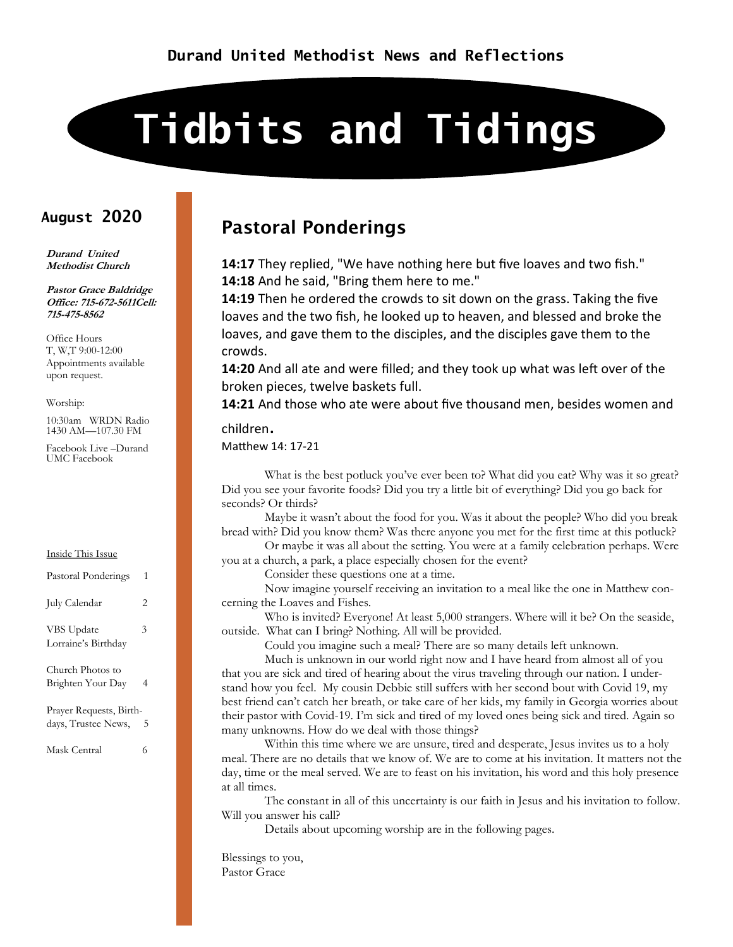# **Tidbits and Tidings**

**Durand United Methodist Church**

**Pastor Grace Baldridge Office: 715-672-5611Cell: 715-475-8562**

Office Hours T, W,T 9:00-12:00 Appointments available upon request.

Worship:

10:30am WRDN Radio 1430 AM—107.30 FM

Facebook Live –Durand UMC Facebook

#### Inside This Issue

| Pastoral Ponderings                            |   |
|------------------------------------------------|---|
| July Calendar                                  | 2 |
| VBS Update<br>Lorraine's Birthday              | 3 |
| Church Photos to<br>Brighten Your Day          | 4 |
| Prayer Requests, Birth-<br>days, Trustee News, | 5 |

Mask Central 6

## **August <sup>2020</sup>** Pastoral Ponderings

**14:17** They replied, "We have nothing here but five loaves and two fish." **14:18** And he said, "Bring them here to me."

**14:19** Then he ordered the crowds to sit down on the grass. Taking the five loaves and the two fish, he looked up to heaven, and blessed and broke the loaves, and gave them to the disciples, and the disciples gave them to the crowds.

**14:20** And all ate and were filled; and they took up what was left over of the broken pieces, twelve baskets full.

**14:21** And those who ate were about five thousand men, besides women and

#### children.

Matthew 14: 17-21

What is the best potluck you've ever been to? What did you eat? Why was it so great? Did you see your favorite foods? Did you try a little bit of everything? Did you go back for seconds? Or thirds?

Maybe it wasn't about the food for you. Was it about the people? Who did you break bread with? Did you know them? Was there anyone you met for the first time at this potluck?

Or maybe it was all about the setting. You were at a family celebration perhaps. Were you at a church, a park, a place especially chosen for the event?

Consider these questions one at a time.

Now imagine yourself receiving an invitation to a meal like the one in Matthew concerning the Loaves and Fishes.

Who is invited? Everyone! At least 5,000 strangers. Where will it be? On the seaside, outside. What can I bring? Nothing. All will be provided.

Could you imagine such a meal? There are so many details left unknown.

Much is unknown in our world right now and I have heard from almost all of you that you are sick and tired of hearing about the virus traveling through our nation. I understand how you feel. My cousin Debbie still suffers with her second bout with Covid 19, my best friend can't catch her breath, or take care of her kids, my family in Georgia worries about their pastor with Covid-19. I'm sick and tired of my loved ones being sick and tired. Again so many unknowns. How do we deal with those things?

Within this time where we are unsure, tired and desperate, Jesus invites us to a holy meal. There are no details that we know of. We are to come at his invitation. It matters not the day, time or the meal served. We are to feast on his invitation, his word and this holy presence at all times.

The constant in all of this uncertainty is our faith in Jesus and his invitation to follow. Will you answer his call?

Details about upcoming worship are in the following pages.

Blessings to you, Pastor Grace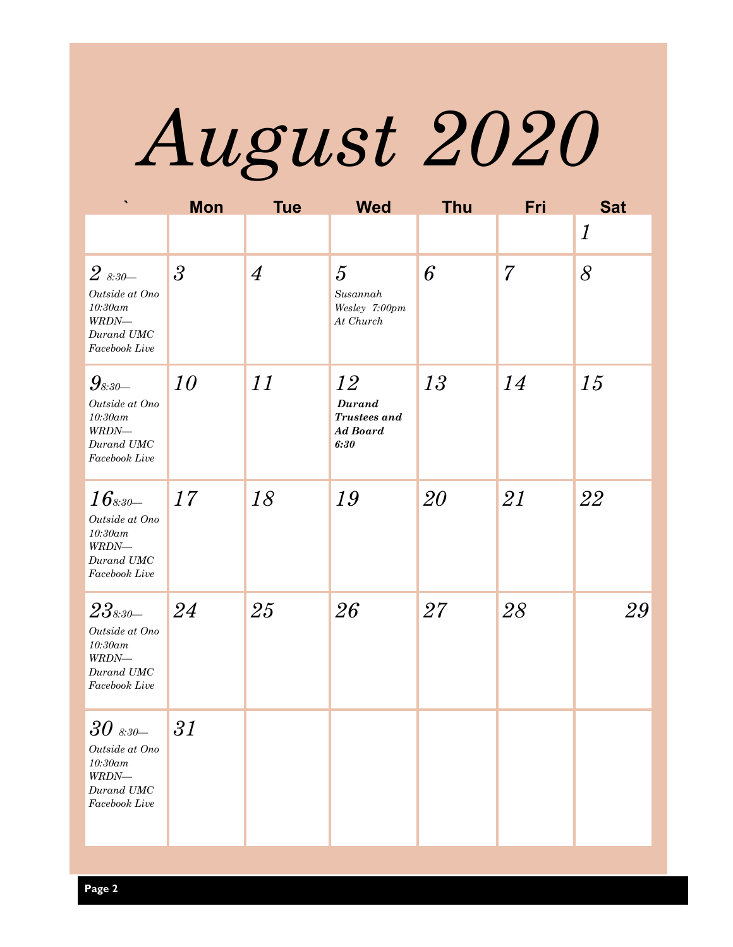# *August 2020*

| $\blacksquare$                                                                                        | <b>Mon</b>     | <b>Tue</b>     | <b>Wed</b>                                                     | <b>Thu</b> | Fri            | <b>Sat</b>       |
|-------------------------------------------------------------------------------------------------------|----------------|----------------|----------------------------------------------------------------|------------|----------------|------------------|
|                                                                                                       |                |                |                                                                |            |                | $\boldsymbol{l}$ |
| $2$ 8:30-<br>Outside at Ono<br>10:30am<br>$W\!R\!D\!N\!-\!$<br>Durand UMC<br>Facebook Live            | $\overline{3}$ | $\overline{4}$ | $\overline{5}$<br>Susannah<br>Wesley 7:00pm<br>At Church       | 6          | $\overline{7}$ | 8                |
| $g_{\scriptscriptstyle 8:30-}$<br>Outside at Ono<br>10:30am<br>$WRDN-$<br>Durand UMC<br>Facebook Live | 10             | 11             | 12<br>Durand<br><b>Trustees</b> and<br><b>Ad Board</b><br>6:30 | 13         | 14             | 15               |
| $16$ 8:30—<br>Outside at Ono<br>$10:30am$<br>$WRDN-$<br>Durand UMC<br>Facebook Live                   | 17             | 18             | 19                                                             | 20         | 21             | 22               |
| $23$ 8:30-<br>Outside at Ono<br>10:30am<br>$WRDN-$<br>Durand UMC<br>Facebook Live                     | 24             | 25             | 26                                                             | $27\,$     | 28             | 29               |
| $30$ 8:30-<br>Outside at Ono<br>$10:30am$<br>WRDN-<br>Durand UMC<br>$\emph{Facebook Live}$            | 31             |                |                                                                |            |                |                  |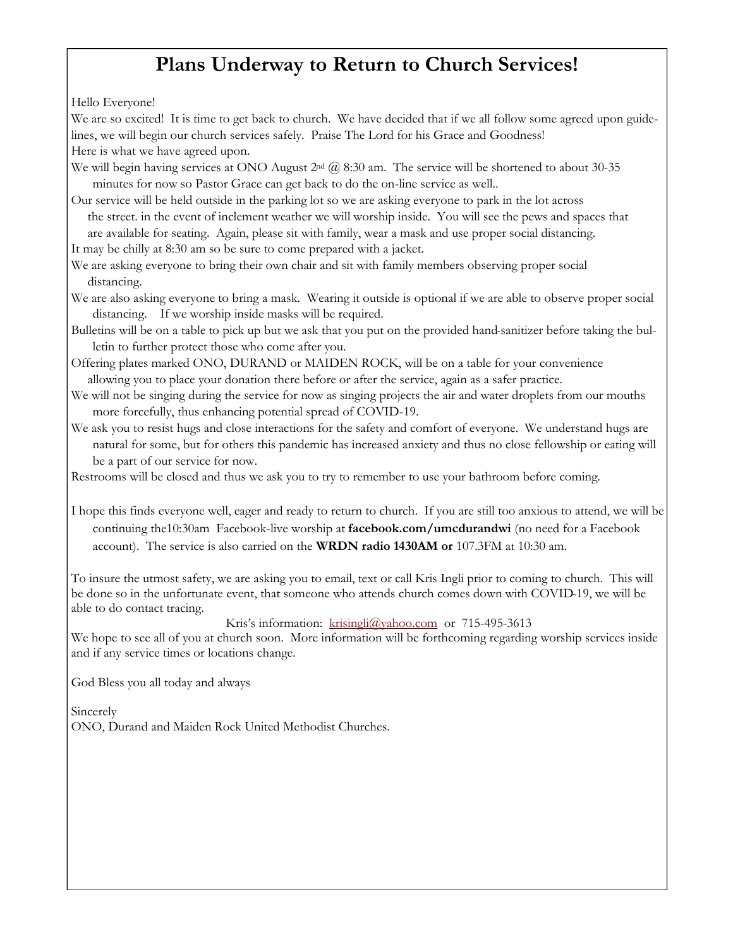### **Plans Underway to Return to Church Services!**

Hello Everyone!

We are so excited! It is time to get back to church. We have decided that if we all follow some agreed upon guidelines, we will begin our church services safely. Praise The Lord for his Grace and Goodness! Here is what we have agreed upon.

We will begin having services at ONO August  $2<sup>nd</sup>$  ( $\overline{a}$ ) 8:30 am. The service will be shortened to about 30-35 minutes for now so Pastor Grace can get back to do the on-line service as well..

Our service will be held outside in the parking lot so we are asking everyone to park in the lot across the street. in the event of inclement weather we will worship inside. You will see the pews and spaces that are available for seating. Again, please sit with family, wear a mask and use proper social distancing. It may be chilly at 8:30 am so be sure to come prepared with a jacket.

We are asking everyone to bring their own chair and sit with family members observing proper social distancing.

We are also asking everyone to bring a mask. Wearing it outside is optional if we are able to observe proper social distancing. If we worship inside masks will be required.

Bulletins will be on a table to pick up but we ask that you put on the provided hand-sanitizer before taking the bulletin to further protect those who come after you.

Offering plates marked ONO, DURAND or MAIDEN ROCK, will be on a table for your convenience allowing you to place your donation there before or after the service, again as a safer practice.

- We will not be singing during the service for now as singing projects the air and water droplets from our mouths more forcefully, thus enhancing potential spread of COVID-19.
- We ask you to resist hugs and close interactions for the safety and comfort of everyone. We understand hugs are natural for some, but for others this pandemic has increased anxiety and thus no close fellowship or eating will be a part of our service for now.

Restrooms will be closed and thus we ask you to try to remember to use your bathroom before coming.

I hope this finds everyone well, eager and ready to return to church. If you are still too anxious to attend, we will be continuing the10:30am Facebook-live worship at **facebook.com/umcdurandwi** (no need for a Facebook account). The service is also carried on the **WRDN radio 1430AM or** 107.3FM at 10:30 am.

To insure the utmost safety, we are asking you to email, text or call Kris Ingli prior to coming to church. This will be done so in the unfortunate event, that someone who attends church comes down with COVID-19, we will be able to do contact tracing.

Kris's information: [krisingli@yahoo.com](mailto:krisingli@yahoo.com) or 715-495-3613

We hope to see all of you at church soon. More information will be forthcoming regarding worship services inside and if any service times or locations change.

God Bless you all today and always

Sincerely ONO, Durand and Maiden Rock United Methodist Churches.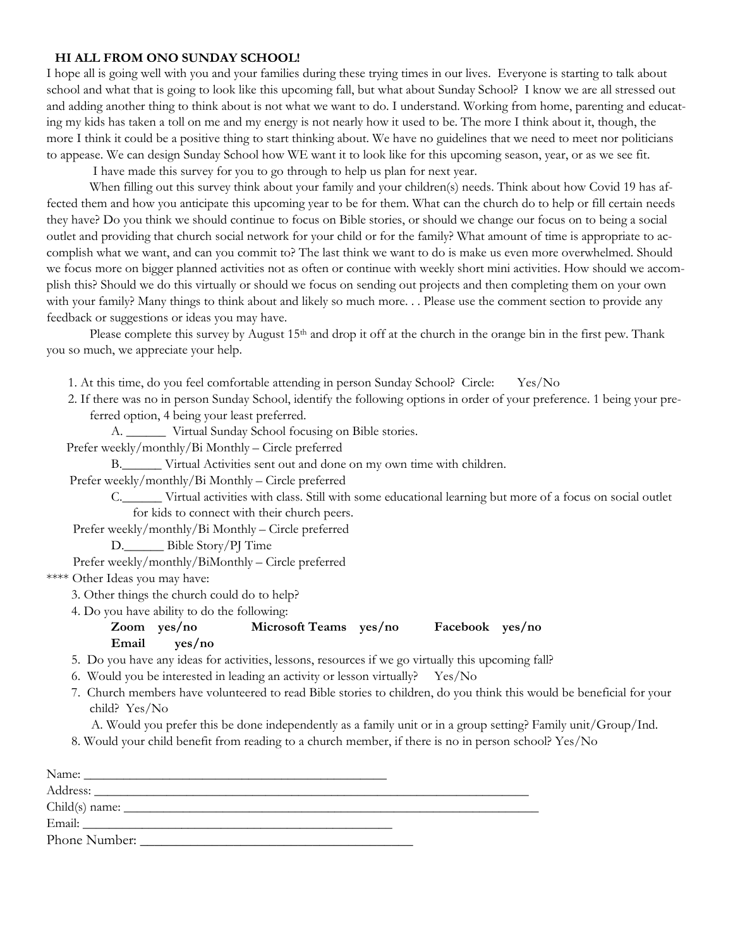#### **HI ALL FROM ONO SUNDAY SCHOOL!**

I hope all is going well with you and your families during these trying times in our lives. Everyone is starting to talk about school and what that is going to look like this upcoming fall, but what about Sunday School? I know we are all stressed out and adding another thing to think about is not what we want to do. I understand. Working from home, parenting and educating my kids has taken a toll on me and my energy is not nearly how it used to be. The more I think about it, though, the more I think it could be a positive thing to start thinking about. We have no guidelines that we need to meet nor politicians to appease. We can design Sunday School how WE want it to look like for this upcoming season, year, or as we see fit.

I have made this survey for you to go through to help us plan for next year.

When filling out this survey think about your family and your children(s) needs. Think about how Covid 19 has affected them and how you anticipate this upcoming year to be for them. What can the church do to help or fill certain needs they have? Do you think we should continue to focus on Bible stories, or should we change our focus on to being a social outlet and providing that church social network for your child or for the family? What amount of time is appropriate to accomplish what we want, and can you commit to? The last think we want to do is make us even more overwhelmed. Should we focus more on bigger planned activities not as often or continue with weekly short mini activities. How should we accomplish this? Should we do this virtually or should we focus on sending out projects and then completing them on your own with your family? Many things to think about and likely so much more... Please use the comment section to provide any feedback or suggestions or ideas you may have.

Please complete this survey by August 15<sup>th</sup> and drop it off at the church in the orange bin in the first pew. Thank you so much, we appreciate your help.

1. At this time, do you feel comfortable attending in person Sunday School? Circle: Yes/No

2. If there was no in person Sunday School, identify the following options in order of your preference. 1 being your preferred option, 4 being your least preferred.

A. \_\_\_\_\_\_\_ Virtual Sunday School focusing on Bible stories.

Prefer weekly/monthly/Bi Monthly – Circle preferred

B.\_\_\_\_\_\_ Virtual Activities sent out and done on my own time with children.

Prefer weekly/monthly/Bi Monthly – Circle preferred

C.\_\_\_\_\_\_ Virtual activities with class. Still with some educational learning but more of a focus on social outlet for kids to connect with their church peers.

Prefer weekly/monthly/Bi Monthly – Circle preferred

D.\_\_\_\_\_\_ Bible Story/PJ Time

Prefer weekly/monthly/BiMonthly – Circle preferred

\*\*\*\* Other Ideas you may have:

3. Other things the church could do to help?

4. Do you have ability to do the following:

#### **Zoom yes/no Microsoft Teams yes/no Facebook yes/no Email yes/no**

5. Do you have any ideas for activities, lessons, resources if we go virtually this upcoming fall?

6. Would you be interested in leading an activity or lesson virtually? Yes/No

7. Church members have volunteered to read Bible stories to children, do you think this would be beneficial for your child? Yes/No

A. Would you prefer this be done independently as a family unit or in a group setting? Family unit/Group/Ind.

8. Would your child benefit from reading to a church member, if there is no in person school? Yes/No

| Name: |  |
|-------|--|
|       |  |
|       |  |
|       |  |
|       |  |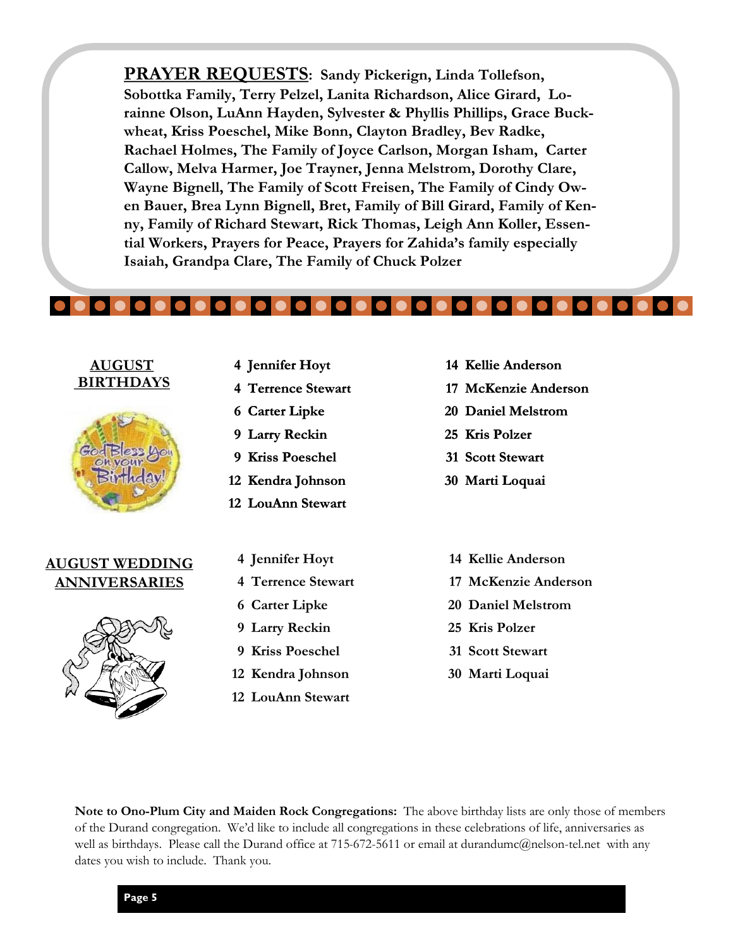**PRAYER REQUESTS: Sandy Pickerign, Linda Tollefson, Sobottka Family, Terry Pelzel, Lanita Richardson, Alice Girard, Lorainne Olson, LuAnn Hayden, Sylvester & Phyllis Phillips, Grace Buckwheat, Kriss Poeschel, Mike Bonn, Clayton Bradley, Bev Radke, Rachael Holmes, The Family of Joyce Carlson, Morgan Isham, Carter Callow, Melva Harmer, Joe Trayner, Jenna Melstrom, Dorothy Clare, Wayne Bignell, The Family of Scott Freisen, The Family of Cindy Owen Bauer, Brea Lynn Bignell, Bret, Family of Bill Girard, Family of Kenny, Family of Richard Stewart, Rick Thomas, Leigh Ann Koller, Essential Workers, Prayers for Peace, Prayers for Zahida's family especially Isaiah, Grandpa Clare, The Family of Chuck Polzer**

00000000000 lo lo **10000000** 

| <b>AUGUST</b>    |
|------------------|
| <b>BIRTHDAYS</b> |



**AUGUST WEDDING ANNIVERSARIES**



- 
- 
- 
- **9 Larry Reckin 25 Kris Polzer**
- **9 Kriss Poeschel 31 Scott Stewart**
- **12 Kendra Johnson 30 Marti Loquai**
- **12 LouAnn Stewart**
	-
	-
	-
	-
	-
- **12 Kendra Johnson 30 Marti Loquai**
- **12 LouAnn Stewart**
- **4 Jennifer Hoyt 14 Kellie Anderson**
- **4 Terrence Stewart 17 McKenzie Anderson**
- **6 Carter Lipke 20 Daniel Melstrom**
	-
	-
	-
- **4 Jennifer Hoyt 14 Kellie Anderson**
- **4 Terrence Stewart 17 McKenzie Anderson**
- **6 Carter Lipke 20 Daniel Melstrom**
- **9 Larry Reckin 25 Kris Polzer**
- **9 Kriss Poeschel 31 Scott Stewart**
	-

**Note to Ono-Plum City and Maiden Rock Congregations:** The above birthday lists are only those of members of the Durand congregation. We'd like to include all congregations in these celebrations of life, anniversaries as well as birthdays. Please call the Durand office at 715-672-5611 or email at durandumc@nelson-tel.net with any dates you wish to include. Thank you.